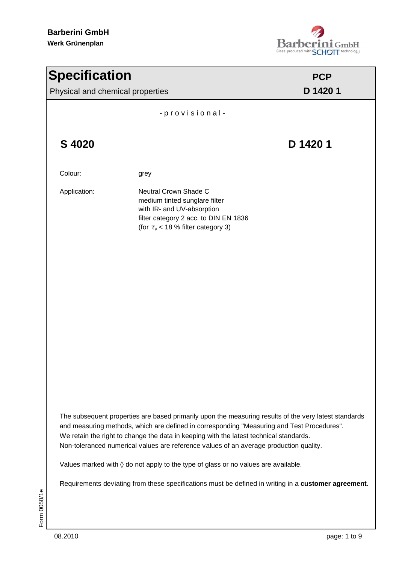

| <b>Specification</b>             |                                                                                                                                                                                                                                                                                                                                                                                         | <b>PCP</b> |  |  |
|----------------------------------|-----------------------------------------------------------------------------------------------------------------------------------------------------------------------------------------------------------------------------------------------------------------------------------------------------------------------------------------------------------------------------------------|------------|--|--|
| Physical and chemical properties |                                                                                                                                                                                                                                                                                                                                                                                         | D 1420 1   |  |  |
|                                  | -provisional-                                                                                                                                                                                                                                                                                                                                                                           |            |  |  |
| S 4020                           |                                                                                                                                                                                                                                                                                                                                                                                         | D 1420 1   |  |  |
| Colour:                          | grey                                                                                                                                                                                                                                                                                                                                                                                    |            |  |  |
| Application:                     | Neutral Crown Shade C<br>medium tinted sunglare filter<br>with IR- and UV-absorption<br>filter category 2 acc. to DIN EN 1836<br>(for $\tau_{v}$ < 18 % filter category 3)                                                                                                                                                                                                              |            |  |  |
|                                  |                                                                                                                                                                                                                                                                                                                                                                                         |            |  |  |
|                                  |                                                                                                                                                                                                                                                                                                                                                                                         |            |  |  |
|                                  |                                                                                                                                                                                                                                                                                                                                                                                         |            |  |  |
|                                  |                                                                                                                                                                                                                                                                                                                                                                                         |            |  |  |
|                                  | The subsequent properties are based primarily upon the measuring results of the very latest standards<br>and measuring methods, which are defined in corresponding "Measuring and Test Procedures".<br>We retain the right to change the data in keeping with the latest technical standards.<br>Non-toleranced numerical values are reference values of an average production quality. |            |  |  |
|                                  | Values marked with $\Diamond$ do not apply to the type of glass or no values are available.                                                                                                                                                                                                                                                                                             |            |  |  |
|                                  | Requirements deviating from these specifications must be defined in writing in a customer agreement.                                                                                                                                                                                                                                                                                    |            |  |  |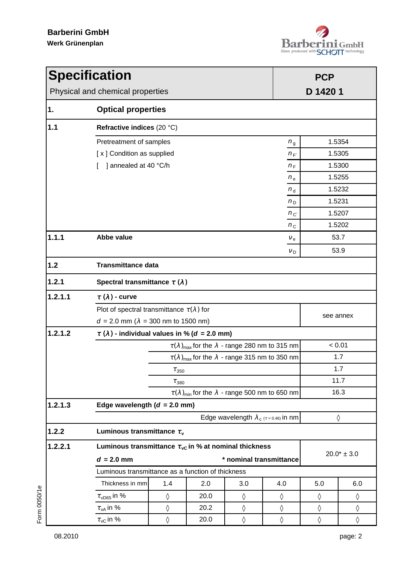

| <b>Specification</b><br>Physical and chemical properties |                                                                         |                                                                         |      |     |                 | <b>PCP</b><br>D 1420 1 |            |  |
|----------------------------------------------------------|-------------------------------------------------------------------------|-------------------------------------------------------------------------|------|-----|-----------------|------------------------|------------|--|
| 1.                                                       | <b>Optical properties</b>                                               |                                                                         |      |     |                 |                        |            |  |
| 1.1                                                      |                                                                         | Refractive indices (20 °C)                                              |      |     |                 |                        |            |  |
|                                                          | Pretreatment of samples                                                 |                                                                         |      |     | $n_{\rm g}$     |                        | 1.5354     |  |
|                                                          | [ x ] Condition as supplied                                             |                                                                         |      |     | $n_{F}$         |                        | 1.5305     |  |
|                                                          | ] annealed at 40 °C/h                                                   |                                                                         |      |     | $n_F$           |                        | 1.5300     |  |
|                                                          |                                                                         |                                                                         |      |     | $n_{\rm e}$     | 1.5255                 |            |  |
|                                                          |                                                                         |                                                                         |      |     | $n_{\rm d}$     |                        | 1.5232     |  |
|                                                          |                                                                         |                                                                         |      |     | $n_{\rm D}$     |                        | 1.5231     |  |
|                                                          |                                                                         |                                                                         |      |     | $n_{\rm C}$     |                        | 1.5207     |  |
|                                                          |                                                                         |                                                                         |      |     | $n_{\rm C}$     |                        | 1.5202     |  |
| 1.1.1                                                    | Abbe value                                                              |                                                                         |      |     | $V_{e}$         |                        | 53.7       |  |
|                                                          |                                                                         |                                                                         |      |     | $V_D$           | 53.9                   |            |  |
| $1.2$                                                    | <b>Transmittance data</b>                                               |                                                                         |      |     |                 |                        |            |  |
| 1.2.1                                                    |                                                                         | Spectral transmittance $\tau(\lambda)$                                  |      |     |                 |                        |            |  |
| 1.2.1.1                                                  | $\tau(\lambda)$ - curve                                                 |                                                                         |      |     |                 |                        |            |  |
|                                                          | Plot of spectral transmittance $\tau(\lambda)$ for                      |                                                                         |      |     |                 | see annex              |            |  |
|                                                          | $d = 2.0$ mm ( $\lambda = 300$ nm to 1500 nm)                           |                                                                         |      |     |                 |                        |            |  |
| 1.2.1.2                                                  | $\tau$ ( $\lambda$ ) - individual values in % (d = 2.0 mm)              |                                                                         |      |     |                 |                        |            |  |
|                                                          | $\tau(\lambda)_{\text{max}}$ for the $\lambda$ - range 280 nm to 315 nm |                                                                         |      |     |                 |                        | < 0.01     |  |
|                                                          |                                                                         | $\tau(\lambda)_{\text{max}}$ for the $\lambda$ - range 315 nm to 350 nm |      |     |                 | 1.7                    |            |  |
|                                                          |                                                                         | $\tau_{\rm \,350}$                                                      |      |     |                 | 1.7                    |            |  |
|                                                          | $\tau_{380}$                                                            |                                                                         |      |     |                 | 11.7                   |            |  |
|                                                          | $\tau(\lambda)_{\text{min}}$ for the $\lambda$ - range 500 nm to 650 nm |                                                                         |      |     |                 | 16.3                   |            |  |
| 1.2.1.3                                                  |                                                                         | Edge wavelength ( $d = 2.0$ mm)                                         |      |     |                 |                        |            |  |
|                                                          | Edge wavelength $\lambda_c$ ( $\tau$ = 0.46) in nm                      |                                                                         |      |     |                 |                        | $\Diamond$ |  |
| 1.2.2                                                    | Luminous transmittance $\tau_{v}$                                       |                                                                         |      |     |                 |                        |            |  |
| 1.2.2.1                                                  | Luminous transmittance $\tau_{\rm vC}$ in % at nominal thickness        |                                                                         |      |     | $20.0* \pm 3.0$ |                        |            |  |
|                                                          | * nominal transmittance<br>$d = 2.0$ mm                                 |                                                                         |      |     |                 |                        |            |  |
|                                                          | Luminous transmittance as a function of thickness                       |                                                                         |      |     |                 |                        |            |  |
|                                                          | Thickness in mm                                                         | 1.4                                                                     | 2.0  | 3.0 | 4.0             | 5.0                    | 6.0        |  |
|                                                          | $\tau_{\nu\textsf{D65}}$ in %                                           | $\Diamond$                                                              | 20.0 | ♦   | $\Diamond$      | ♦                      | $\Diamond$ |  |
|                                                          | $\tau_{vA}$ in %                                                        | $\Diamond$                                                              | 20.2 | ♦   | ♦               | $\Diamond$             | ♦          |  |
|                                                          | $\tau_{\rm vC}$ in %                                                    | $\Diamond$                                                              | 20.0 | ♦   | $\Diamond$      | $\Diamond$             | $\Diamond$ |  |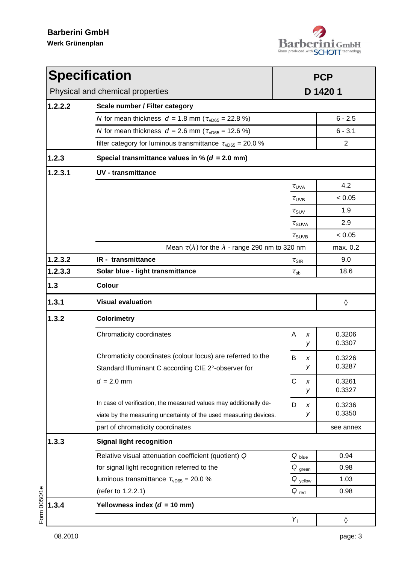

|                                           | <b>Specification</b>                                                     | <b>PCP</b>                                                      |                  |  |  |  |
|-------------------------------------------|--------------------------------------------------------------------------|-----------------------------------------------------------------|------------------|--|--|--|
|                                           | Physical and chemical properties                                         | D 1420 1                                                        |                  |  |  |  |
| 1.2.2.2<br>Scale number / Filter category |                                                                          |                                                                 |                  |  |  |  |
|                                           | N for mean thickness $d = 1.8$ mm ( $\tau_{\nu\text{D65}} = 22.8$ %)     |                                                                 | $6 - 2.5$        |  |  |  |
|                                           | N for mean thickness $d = 2.6$ mm ( $\tau_{\text{vD65}} = 12.6$ %)       |                                                                 | $6 - 3.1$        |  |  |  |
|                                           | filter category for luminous transmittance $\tau_{\text{vD65}} = 20.0$ % |                                                                 | 2                |  |  |  |
| 1.2.3                                     | Special transmittance values in % ( $d = 2.0$ mm)                        |                                                                 |                  |  |  |  |
| 1.2.3.1                                   | <b>UV</b> - transmittance                                                |                                                                 |                  |  |  |  |
|                                           |                                                                          | $\tau_{UVA}$                                                    | 4.2              |  |  |  |
|                                           |                                                                          | $\tau_{UVB}$                                                    | < 0.05           |  |  |  |
|                                           |                                                                          | $\tau$ <sub>SUV</sub>                                           | 1.9              |  |  |  |
|                                           |                                                                          | $\tau$ <sub>SUVA</sub>                                          | 2.9              |  |  |  |
|                                           |                                                                          | $\tau$ SUVB                                                     | < 0.05           |  |  |  |
|                                           |                                                                          | Mean $\tau(\lambda)$ for the $\lambda$ - range 290 nm to 320 nm |                  |  |  |  |
| 1.2.3.2                                   | IR - transmittance                                                       | $\tau$ <sub>SIR</sub>                                           | 9.0              |  |  |  |
| 1.2.3.3                                   | Solar blue - light transmittance                                         | $\tau_{sb}$                                                     | 18.6             |  |  |  |
| $1.3$                                     | <b>Colour</b>                                                            |                                                                 |                  |  |  |  |
| 1.3.1                                     | <b>Visual evaluation</b>                                                 |                                                                 | ♦                |  |  |  |
| 1.3.2                                     | <b>Colorimetry</b>                                                       |                                                                 |                  |  |  |  |
|                                           | Chromaticity coordinates                                                 | A<br>X<br>У                                                     | 0.3206<br>0.3307 |  |  |  |
|                                           | Chromaticity coordinates (colour locus) are referred to the              | B<br>x                                                          | 0.3226           |  |  |  |
|                                           | Standard Illuminant C according CIE 2°-observer for                      | У                                                               | 0.3287           |  |  |  |
|                                           | $d = 2.0$ mm                                                             | $\mathsf C$<br>X<br>У                                           | 0.3261<br>0.3327 |  |  |  |
|                                           | In case of verification, the measured values may additionally de-        | D<br>x                                                          | 0.3236           |  |  |  |
|                                           | viate by the measuring uncertainty of the used measuring devices.        | У                                                               | 0.3350           |  |  |  |
|                                           | part of chromaticity coordinates                                         |                                                                 | see annex        |  |  |  |
| 1.3.3                                     | <b>Signal light recognition</b>                                          |                                                                 |                  |  |  |  |
|                                           | Relative visual attenuation coefficient (quotient) Q                     | $Q_{blue}$                                                      | 0.94             |  |  |  |
|                                           | for signal light recognition referred to the                             | $Q_{green}$                                                     | 0.98             |  |  |  |
|                                           | luminous transmittance $\tau_{\text{vD65}} = 20.0 \%$                    | $Q$ <sub>yellow</sub>                                           | 1.03             |  |  |  |
|                                           | (refer to 1.2.2.1)                                                       | $Q_{red}$                                                       | 0.98             |  |  |  |
| 1.3.4                                     | Yellowness index ( $d = 10$ mm)                                          |                                                                 |                  |  |  |  |
|                                           |                                                                          | $Y_i$                                                           | ♦                |  |  |  |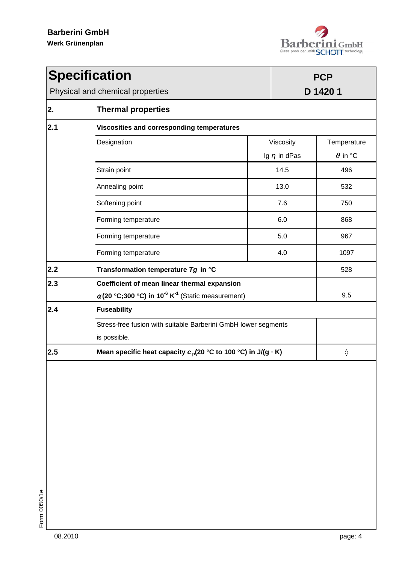

| <b>Specification</b>             |                                                                                                                                  | <b>PCP</b> |                                |                                              |  |  |
|----------------------------------|----------------------------------------------------------------------------------------------------------------------------------|------------|--------------------------------|----------------------------------------------|--|--|
| Physical and chemical properties |                                                                                                                                  |            | D 1420 1                       |                                              |  |  |
| 2.                               | <b>Thermal properties</b>                                                                                                        |            |                                |                                              |  |  |
| 2.1                              | Viscosities and corresponding temperatures                                                                                       |            |                                |                                              |  |  |
|                                  | Designation                                                                                                                      |            | Viscosity<br>Ig $\eta$ in dPas | Temperature<br>$\vartheta$ in ${}^{\circ}$ C |  |  |
|                                  | Strain point                                                                                                                     |            | 14.5                           | 496                                          |  |  |
|                                  | Annealing point                                                                                                                  | 13.0       |                                | 532                                          |  |  |
|                                  | Softening point                                                                                                                  | 7.6        |                                | 750                                          |  |  |
|                                  | Forming temperature                                                                                                              | 6.0        |                                | 868                                          |  |  |
|                                  | Forming temperature                                                                                                              | 5.0        |                                | 967                                          |  |  |
|                                  | Forming temperature                                                                                                              | 4.0        |                                | 1097                                         |  |  |
| 2.2                              | Transformation temperature Tg in °C                                                                                              |            |                                | 528                                          |  |  |
| 2.3                              | Coefficient of mean linear thermal expansion<br>$\alpha$ (20 °C;300 °C) in 10 <sup>-6</sup> K <sup>-1</sup> (Static measurement) |            |                                | 9.5                                          |  |  |
| 2.4                              | <b>Fuseability</b>                                                                                                               |            |                                |                                              |  |  |
|                                  | Stress-free fusion with suitable Barberini GmbH lower segments<br>is possible.                                                   |            |                                |                                              |  |  |
| 2.5                              | Mean specific heat capacity $c_p(20 °C)$ to 100 °C) in J/(g $\cdot$ K)                                                           |            |                                | ♦                                            |  |  |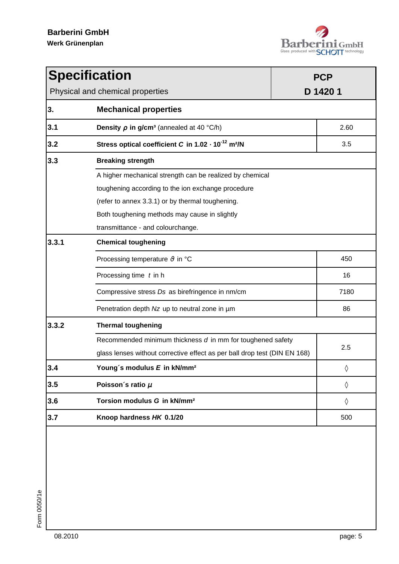

| <b>Specification</b>                                                               |                                                                                                                                                                    |          | <b>PCP</b> |  |  |
|------------------------------------------------------------------------------------|--------------------------------------------------------------------------------------------------------------------------------------------------------------------|----------|------------|--|--|
| Physical and chemical properties                                                   |                                                                                                                                                                    | D 1420 1 |            |  |  |
| 3.                                                                                 | <b>Mechanical properties</b>                                                                                                                                       |          |            |  |  |
| 3.1                                                                                | <b>Density <math>\rho</math> in g/cm<sup>3</sup></b> (annealed at 40 °C/h)                                                                                         |          | 2.60       |  |  |
| 3.2                                                                                | Stress optical coefficient C in 1.02 · 10 <sup>-12</sup> m <sup>2</sup> /N                                                                                         |          | 3.5        |  |  |
| 3.3<br><b>Breaking strength</b>                                                    |                                                                                                                                                                    |          |            |  |  |
|                                                                                    | A higher mechanical strength can be realized by chemical<br>toughening according to the ion exchange procedure<br>(refer to annex 3.3.1) or by thermal toughening. |          |            |  |  |
| Both toughening methods may cause in slightly<br>transmittance - and colourchange. |                                                                                                                                                                    |          |            |  |  |
| 3.3.1                                                                              | <b>Chemical toughening</b>                                                                                                                                         |          |            |  |  |
|                                                                                    | Processing temperature $\vartheta$ in ${}^{\circ}$ C                                                                                                               |          |            |  |  |
|                                                                                    | Processing time $t$ in h                                                                                                                                           |          |            |  |  |
|                                                                                    | Compressive stress Ds as birefringence in nm/cm                                                                                                                    | 7180     |            |  |  |
|                                                                                    | Penetration depth Nz up to neutral zone in µm                                                                                                                      |          |            |  |  |
| 3.3.2                                                                              | <b>Thermal toughening</b>                                                                                                                                          |          |            |  |  |
|                                                                                    | Recommended minimum thickness d in mm for toughened safety<br>glass lenses without corrective effect as per ball drop test (DIN EN 168)                            |          |            |  |  |
| 3.4                                                                                | Young's modulus E in kN/mm <sup>2</sup>                                                                                                                            |          |            |  |  |
| 3.5                                                                                | Poisson's ratio $\mu$                                                                                                                                              |          | $\Diamond$ |  |  |
| 3.6                                                                                | Torsion modulus G in kN/mm <sup>2</sup>                                                                                                                            |          | $\Diamond$ |  |  |
| 3.7<br>Knoop hardness HK 0.1/20                                                    |                                                                                                                                                                    | 500      |            |  |  |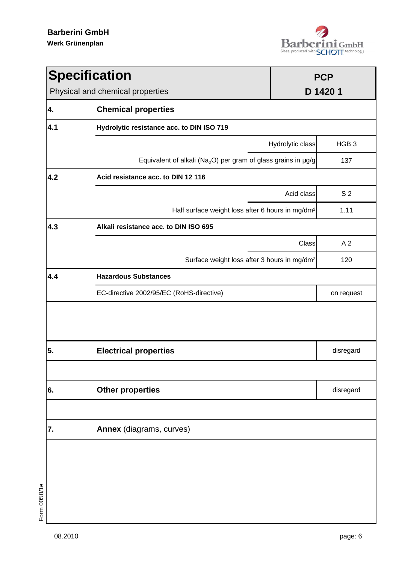

| <b>Specification</b> |                                                                                | <b>PCP</b>       |                  |  |  |
|----------------------|--------------------------------------------------------------------------------|------------------|------------------|--|--|
|                      | D 1420 1<br>Physical and chemical properties                                   |                  |                  |  |  |
| 4.                   | <b>Chemical properties</b>                                                     |                  |                  |  |  |
| 4.1                  | Hydrolytic resistance acc. to DIN ISO 719                                      |                  |                  |  |  |
|                      |                                                                                | Hydrolytic class | HGB <sub>3</sub> |  |  |
|                      | Equivalent of alkali (Na <sub>2</sub> O) per gram of glass grains in $\mu$ g/g |                  | 137              |  |  |
| 4.2                  | Acid resistance acc. to DIN 12 116                                             |                  |                  |  |  |
|                      |                                                                                | Acid class       | S <sub>2</sub>   |  |  |
|                      | Half surface weight loss after 6 hours in mg/dm <sup>2</sup>                   |                  | 1.11             |  |  |
| 4.3                  | Alkali resistance acc. to DIN ISO 695                                          |                  |                  |  |  |
|                      |                                                                                | Class            | A <sub>2</sub>   |  |  |
|                      | Surface weight loss after 3 hours in mg/dm <sup>2</sup>                        |                  | 120              |  |  |
| 4.4                  | <b>Hazardous Substances</b>                                                    |                  |                  |  |  |
|                      | EC-directive 2002/95/EC (RoHS-directive)                                       |                  | on request       |  |  |
|                      |                                                                                |                  |                  |  |  |
| 5.                   | <b>Electrical properties</b>                                                   |                  | disregard        |  |  |
|                      |                                                                                |                  |                  |  |  |
| 6.                   | <b>Other properties</b>                                                        |                  | disregard        |  |  |
|                      |                                                                                |                  |                  |  |  |
| 7.                   | Annex (diagrams, curves)                                                       |                  |                  |  |  |
|                      |                                                                                |                  |                  |  |  |
|                      |                                                                                |                  |                  |  |  |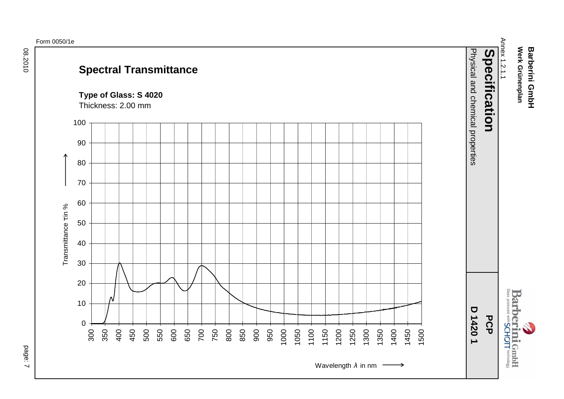## **Spectral Transmittance**

**Type of Glass: S 4020**



Thickness: 2.00 mm

page: 7

Werk Grünenplan **Werk Grünenplan Barberini GmbH Barberini GmbH**

Annex 1.2.1.1

Annex 1.2.1.1

**Barberini GmbH**<br>Barberini GmbH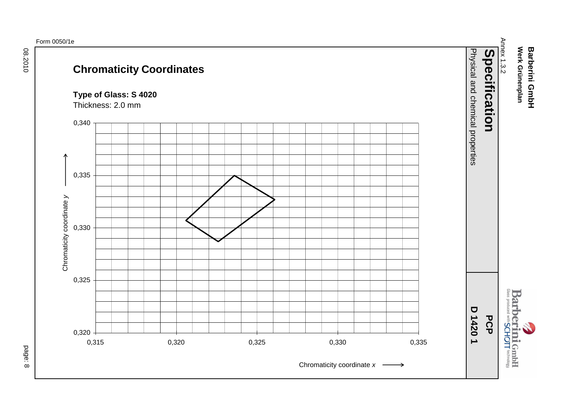08.2010

## **Chromaticity Coordinates**

**Type of Glass: S 4020**



Thickness: 2.0 mm

page: 8

Werk Grünenplan **Barberini GmbH Werk Grünenplan Barberini GmbH**

Annex 1.3.2

Annex 1.3.2